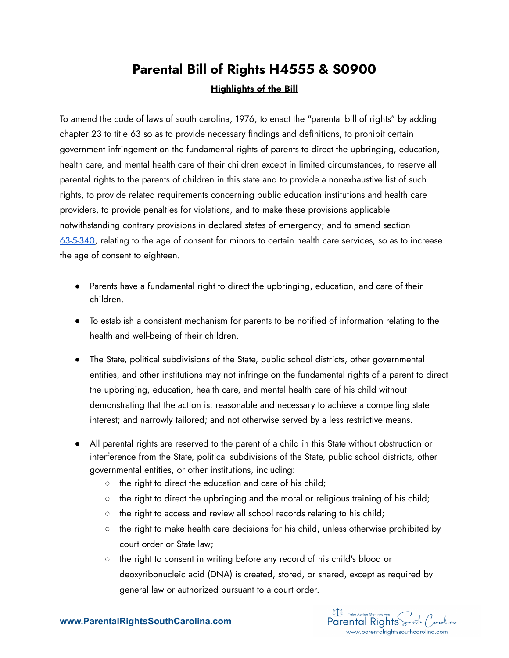## **Parental Bill of Rights H4555 & S0900 Highlights of the Bill**

To amend the code of laws of south carolina, 1976, to enact the "parental bill of rights" by adding chapter 23 to title 63 so as to provide necessary findings and definitions, to prohibit certain government infringement on the fundamental rights of parents to direct the upbringing, education, health care, and mental health care of their children except in limited circumstances, to reserve all parental rights to the parents of children in this state and to provide a nonexhaustive list of such rights, to provide related requirements concerning public education institutions and health care providers, to provide penalties for violations, and to make these provisions applicable notwithstanding contrary provisions in declared states of emergency; and to amend section [63-5-340](https://www.scstatehouse.gov/code/t63c005.php#63-5-340), relating to the age of consent for minors to certain health care services, so as to increase the age of consent to eighteen.

- Parents have a fundamental right to direct the upbringing, education, and care of their children.
- To establish a consistent mechanism for parents to be notified of information relating to the health and well-being of their children.
- The State, political subdivisions of the State, public school districts, other governmental entities, and other institutions may not infringe on the fundamental rights of a parent to direct the upbringing, education, health care, and mental health care of his child without demonstrating that the action is: reasonable and necessary to achieve a compelling state interest; and narrowly tailored; and not otherwise served by a less restrictive means.
- All parental rights are reserved to the parent of a child in this State without obstruction or interference from the State, political subdivisions of the State, public school districts, other governmental entities, or other institutions, including:
	- the right to direct the education and care of his child;
	- $\circ$  the right to direct the upbringing and the moral or religious training of his child;
	- the right to access and review all school records relating to his child;
	- the right to make health care decisions for his child, unless otherwise prohibited by court order or State law;
	- the right to consent in writing before any record of his child's blood or deoxyribonucleic acid (DNA) is created, stored, or shared, except as required by general law or authorized pursuant to a court order.

FI Take Action Get Involved<br>Parental Rights South Carolina www.parentalrightssouthcarolina.com